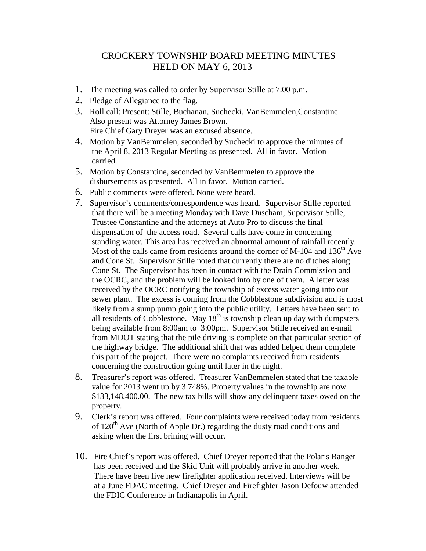## CROCKERY TOWNSHIP BOARD MEETING MINUTES HELD ON MAY 6, 2013

- 1. The meeting was called to order by Supervisor Stille at 7:00 p.m.
- 2. Pledge of Allegiance to the flag.
- 3. Roll call: Present: Stille, Buchanan, Suchecki, VanBemmelen,Constantine. Also present was Attorney James Brown. Fire Chief Gary Dreyer was an excused absence.
- 4. Motion by VanBemmelen, seconded by Suchecki to approve the minutes of the April 8, 2013 Regular Meeting as presented. All in favor. Motion carried.
- 5. Motion by Constantine, seconded by VanBemmelen to approve the disbursements as presented. All in favor. Motion carried.
- 6. Public comments were offered. None were heard.
- 7. Supervisor's comments/correspondence was heard. Supervisor Stille reported that there will be a meeting Monday with Dave Duscham, Supervisor Stille, Trustee Constantine and the attorneys at Auto Pro to discuss the final dispensation of the access road. Several calls have come in concerning standing water. This area has received an abnormal amount of rainfall recently. Most of the calls came from residents around the corner of  $M-104$  and  $136<sup>th</sup>$  Ave and Cone St. Supervisor Stille noted that currently there are no ditches along Cone St. The Supervisor has been in contact with the Drain Commission and the OCRC, and the problem will be looked into by one of them. A letter was received by the OCRC notifying the township of excess water going into our sewer plant. The excess is coming from the Cobblestone subdivision and is most likely from a sump pump going into the public utility. Letters have been sent to all residents of Cobblestone. May  $18<sup>th</sup>$  is township clean up day with dumpsters being available from 8:00am to 3:00pm. Supervisor Stille received an e-mail from MDOT stating that the pile driving is complete on that particular section of the highway bridge. The additional shift that was added helped them complete this part of the project. There were no complaints received from residents concerning the construction going until later in the night.
- 8. Treasurer's report was offered. Treasurer VanBemmelen stated that the taxable value for 2013 went up by 3.748%. Property values in the township are now \$133,148,400.00. The new tax bills will show any delinquent taxes owed on the property.
- 9. Clerk's report was offered. Four complaints were received today from residents of  $120<sup>th</sup>$  Ave (North of Apple Dr.) regarding the dusty road conditions and asking when the first brining will occur.
- 10. Fire Chief's report was offered. Chief Dreyer reported that the Polaris Ranger has been received and the Skid Unit will probably arrive in another week. There have been five new firefighter application received. Interviews will be at a June FDAC meeting. Chief Dreyer and Firefighter Jason Defouw attended the FDIC Conference in Indianapolis in April.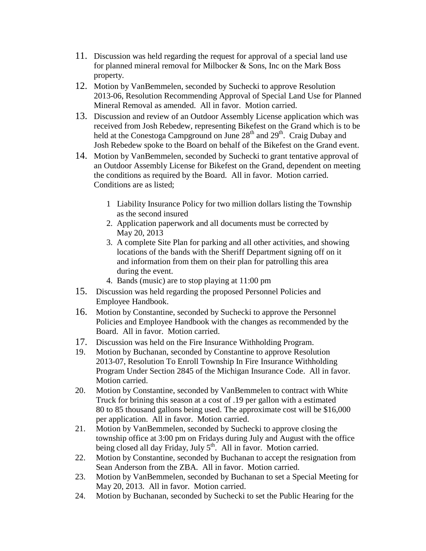- 11. Discussion was held regarding the request for approval of a special land use for planned mineral removal for Milbocker & Sons, Inc on the Mark Boss property.
- 12. Motion by VanBemmelen, seconded by Suchecki to approve Resolution 2013-06, Resolution Recommending Approval of Special Land Use for Planned Mineral Removal as amended. All in favor. Motion carried.
- 13. Discussion and review of an Outdoor Assembly License application which was received from Josh Rebedew, representing Bikefest on the Grand which is to be held at the Conestoga Campground on June  $28<sup>th</sup>$  and  $29<sup>th</sup>$ . Craig Dubay and Josh Rebedew spoke to the Board on behalf of the Bikefest on the Grand event.
- 14. Motion by VanBemmelen, seconded by Suchecki to grant tentative approval of an Outdoor Assembly License for Bikefest on the Grand, dependent on meeting the conditions as required by the Board. All in favor. Motion carried. Conditions are as listed;
	- 1 Liability Insurance Policy for two million dollars listing the Township as the second insured
	- 2. Application paperwork and all documents must be corrected by May 20, 2013
	- 3. A complete Site Plan for parking and all other activities, and showing locations of the bands with the Sheriff Department signing off on it and information from them on their plan for patrolling this area during the event.
	- 4. Bands (music) are to stop playing at 11:00 pm
- 15. Discussion was held regarding the proposed Personnel Policies and Employee Handbook.
- 16. Motion by Constantine, seconded by Suchecki to approve the Personnel Policies and Employee Handbook with the changes as recommended by the Board. All in favor. Motion carried.
- 17. Discussion was held on the Fire Insurance Withholding Program.
- 19. Motion by Buchanan, seconded by Constantine to approve Resolution 2013-07, Resolution To Enroll Township In Fire Insurance Withholding Program Under Section 2845 of the Michigan Insurance Code. All in favor. Motion carried.
- 20. Motion by Constantine, seconded by VanBemmelen to contract with White Truck for brining this season at a cost of .19 per gallon with a estimated 80 to 85 thousand gallons being used. The approximate cost will be \$16,000 per application. All in favor. Motion carried.
- 21. Motion by VanBemmelen, seconded by Suchecki to approve closing the township office at 3:00 pm on Fridays during July and August with the office being closed all day Friday, July 5<sup>th</sup>. All in favor. Motion carried.
- 22. Motion by Constantine, seconded by Buchanan to accept the resignation from Sean Anderson from the ZBA. All in favor. Motion carried.
- 23. Motion by VanBemmelen, seconded by Buchanan to set a Special Meeting for May 20, 2013. All in favor. Motion carried.
- 24. Motion by Buchanan, seconded by Suchecki to set the Public Hearing for the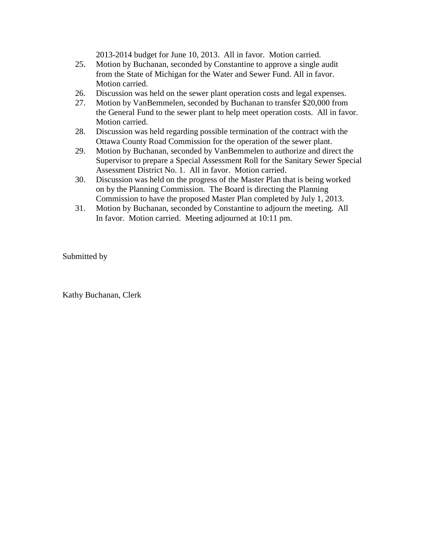2013-2014 budget for June 10, 2013. All in favor. Motion carried.

- 25. Motion by Buchanan, seconded by Constantine to approve a single audit from the State of Michigan for the Water and Sewer Fund. All in favor. Motion carried.
- 26. Discussion was held on the sewer plant operation costs and legal expenses.
- 27. Motion by VanBemmelen, seconded by Buchanan to transfer \$20,000 from the General Fund to the sewer plant to help meet operation costs. All in favor. Motion carried.
- 28. Discussion was held regarding possible termination of the contract with the Ottawa County Road Commission for the operation of the sewer plant.
- 29. Motion by Buchanan, seconded by VanBemmelen to authorize and direct the Supervisor to prepare a Special Assessment Roll for the Sanitary Sewer Special Assessment District No. 1. All in favor. Motion carried.
- 30. Discussion was held on the progress of the Master Plan that is being worked on by the Planning Commission. The Board is directing the Planning Commission to have the proposed Master Plan completed by July 1, 2013.
- 31. Motion by Buchanan, seconded by Constantine to adjourn the meeting. All In favor. Motion carried. Meeting adjourned at 10:11 pm.

Submitted by

Kathy Buchanan, Clerk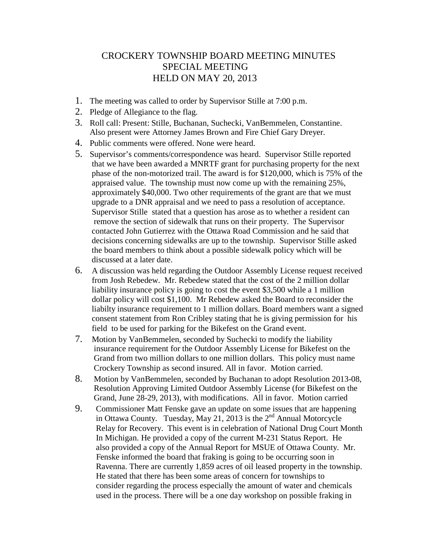## CROCKERY TOWNSHIP BOARD MEETING MINUTES SPECIAL MEETING HELD ON MAY 20, 2013

- 1. The meeting was called to order by Supervisor Stille at 7:00 p.m.
- 2. Pledge of Allegiance to the flag.
- 3. Roll call: Present: Stille, Buchanan, Suchecki, VanBemmelen, Constantine. Also present were Attorney James Brown and Fire Chief Gary Dreyer.
- 4. Public comments were offered. None were heard.
- 5. Supervisor's comments/correspondence was heard. Supervisor Stille reported that we have been awarded a MNRTF grant for purchasing property for the next phase of the non-motorized trail. The award is for \$120,000, which is 75% of the appraised value. The township must now come up with the remaining 25%, approximately \$40,000. Two other requirements of the grant are that we must upgrade to a DNR appraisal and we need to pass a resolution of acceptance. Supervisor Stille stated that a question has arose as to whether a resident can remove the section of sidewalk that runs on their property. The Supervisor contacted John Gutierrez with the Ottawa Road Commission and he said that decisions concerning sidewalks are up to the township. Supervisor Stille asked the board members to think about a possible sidewalk policy which will be discussed at a later date.
- 6. A discussion was held regarding the Outdoor Assembly License request received from Josh Rebedew. Mr. Rebedew stated that the cost of the 2 million dollar liability insurance policy is going to cost the event \$3,500 while a 1 million dollar policy will cost \$1,100. Mr Rebedew asked the Board to reconsider the liabilty insurance requirement to 1 million dollars. Board members want a signed consent statement from Ron Cribley stating that he is giving permission for his field to be used for parking for the Bikefest on the Grand event.
- 7. Motion by VanBemmelen, seconded by Suchecki to modify the liability insurance requirement for the Outdoor Assembly License for Bikefest on the Grand from two million dollars to one million dollars. This policy must name Crockery Township as second insured. All in favor. Motion carried.
- 8. Motion by VanBemmelen, seconded by Buchanan to adopt Resolution 2013-08, Resolution Approving Limited Outdoor Assembly License (for Bikefest on the Grand, June 28-29, 2013), with modifications. All in favor. Motion carried
- 9. Commissioner Matt Fenske gave an update on some issues that are happening in Ottawa County. Tuesday, May 21, 2013 is the  $2<sup>nd</sup>$  Annual Motorcycle Relay for Recovery. This event is in celebration of National Drug Court Month In Michigan. He provided a copy of the current M-231 Status Report. He also provided a copy of the Annual Report for MSUE of Ottawa County. Mr. Fenske informed the board that fraking is going to be occurring soon in Ravenna. There are currently 1,859 acres of oil leased property in the township. He stated that there has been some areas of concern for townships to consider regarding the process especially the amount of water and chemicals used in the process. There will be a one day workshop on possible fraking in